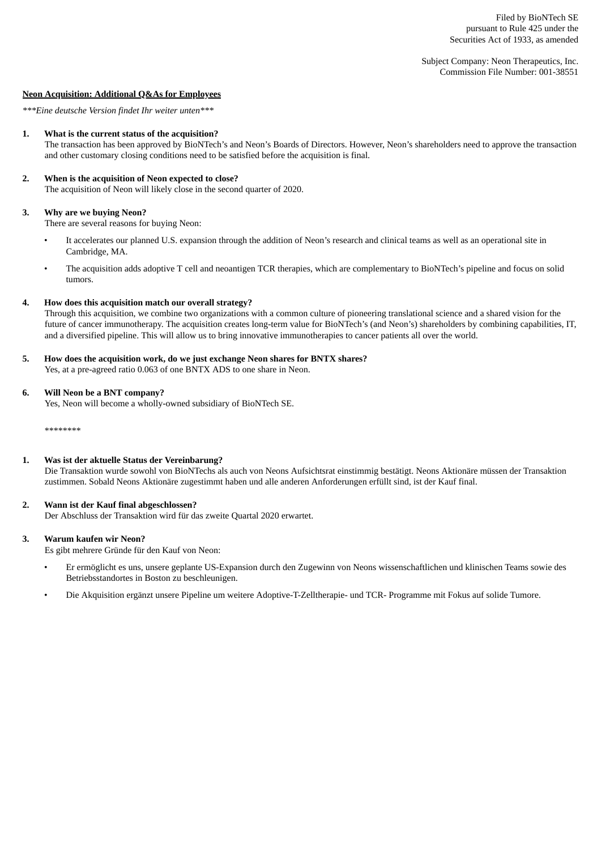Subject Company: Neon Therapeutics, Inc. Commission File Number: 001-38551

## **Neon Acquisition: Additional Q&As for Employees**

*\*\*\*Eine deutsche Version findet Ihr weiter unten\*\*\**

#### **1. What is the current status of the acquisition?**

The transaction has been approved by BioNTech's and Neon's Boards of Directors. However, Neon's shareholders need to approve the transaction and other customary closing conditions need to be satisfied before the acquisition is final.

## **2. When is the acquisition of Neon expected to close?**

The acquisition of Neon will likely close in the second quarter of 2020.

## **3. Why are we buying Neon?**

There are several reasons for buying Neon:

- It accelerates our planned U.S. expansion through the addition of Neon's research and clinical teams as well as an operational site in Cambridge, MA.
- The acquisition adds adoptive T cell and neoantigen TCR therapies, which are complementary to BioNTech's pipeline and focus on solid tumors.

#### **4. How does this acquisition match our overall strategy?**

Through this acquisition, we combine two organizations with a common culture of pioneering translational science and a shared vision for the future of cancer immunotherapy. The acquisition creates long-term value for BioNTech's (and Neon's) shareholders by combining capabilities, IT, and a diversified pipeline. This will allow us to bring innovative immunotherapies to cancer patients all over the world.

**5. How does the acquisition work, do we just exchange Neon shares for BNTX shares?**

Yes, at a pre-agreed ratio 0.063 of one BNTX ADS to one share in Neon.

#### **6. Will Neon be a BNT company?**

Yes, Neon will become a wholly-owned subsidiary of BioNTech SE.

\*\*\*\*\*\*\*\*

## **1. Was ist der aktuelle Status der Vereinbarung?**

Die Transaktion wurde sowohl von BioNTechs als auch von Neons Aufsichtsrat einstimmig bestätigt. Neons Aktionäre müssen der Transaktion zustimmen. Sobald Neons Aktionäre zugestimmt haben und alle anderen Anforderungen erfüllt sind, ist der Kauf final.

# **2. Wann ist der Kauf final abgeschlossen?**

Der Abschluss der Transaktion wird für das zweite Quartal 2020 erwartet.

#### **3. Warum kaufen wir Neon?**

Es gibt mehrere Gründe für den Kauf von Neon:

- Er ermöglicht es uns, unsere geplante US-Expansion durch den Zugewinn von Neons wissenschaftlichen und klinischen Teams sowie des Betriebsstandortes in Boston zu beschleunigen.
- Die Akquisition ergänzt unsere Pipeline um weitere Adoptive-T-Zelltherapie- und TCR- Programme mit Fokus auf solide Tumore.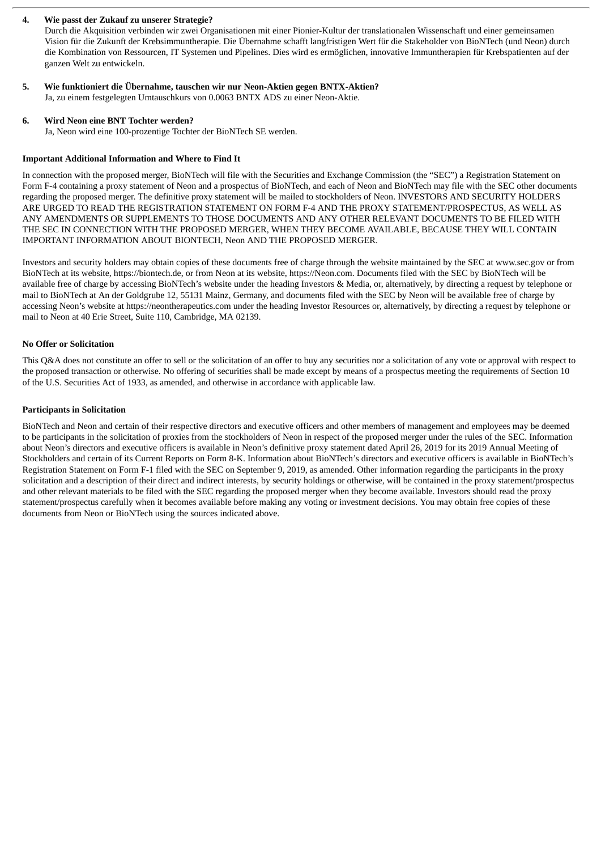# **4. Wie passt der Zukauf zu unserer Strategie?**

Durch die Akquisition verbinden wir zwei Organisationen mit einer Pionier-Kultur der translationalen Wissenschaft und einer gemeinsamen Vision für die Zukunft der Krebsimmuntherapie. Die Übernahme schafft langfristigen Wert für die Stakeholder von BioNTech (und Neon) durch die Kombination von Ressourcen, IT Systemen und Pipelines. Dies wird es ermöglichen, innovative Immuntherapien für Krebspatienten auf der ganzen Welt zu entwickeln.

#### **5. Wie funktioniert die Übernahme, tauschen wir nur Neon-Aktien gegen BNTX-Aktien?** Ja, zu einem festgelegten Umtauschkurs von 0.0063 BNTX ADS zu einer Neon-Aktie.

# **6. Wird Neon eine BNT Tochter werden?**

Ja, Neon wird eine 100-prozentige Tochter der BioNTech SE werden.

# **Important Additional Information and Where to Find It**

In connection with the proposed merger, BioNTech will file with the Securities and Exchange Commission (the "SEC") a Registration Statement on Form F-4 containing a proxy statement of Neon and a prospectus of BioNTech, and each of Neon and BioNTech may file with the SEC other documents regarding the proposed merger. The definitive proxy statement will be mailed to stockholders of Neon. INVESTORS AND SECURITY HOLDERS ARE URGED TO READ THE REGISTRATION STATEMENT ON FORM F-4 AND THE PROXY STATEMENT/PROSPECTUS, AS WELL AS ANY AMENDMENTS OR SUPPLEMENTS TO THOSE DOCUMENTS AND ANY OTHER RELEVANT DOCUMENTS TO BE FILED WITH THE SEC IN CONNECTION WITH THE PROPOSED MERGER, WHEN THEY BECOME AVAILABLE, BECAUSE THEY WILL CONTAIN IMPORTANT INFORMATION ABOUT BIONTECH, Neon AND THE PROPOSED MERGER.

Investors and security holders may obtain copies of these documents free of charge through the website maintained by the SEC at www.sec.gov or from BioNTech at its website, https://biontech.de, or from Neon at its website, https://Neon.com. Documents filed with the SEC by BioNTech will be available free of charge by accessing BioNTech's website under the heading Investors & Media, or, alternatively, by directing a request by telephone or mail to BioNTech at An der Goldgrube 12, 55131 Mainz, Germany, and documents filed with the SEC by Neon will be available free of charge by accessing Neon's website at https://neontherapeutics.com under the heading Investor Resources or, alternatively, by directing a request by telephone or mail to Neon at 40 Erie Street, Suite 110, Cambridge, MA 02139.

# **No Offer or Solicitation**

This Q&A does not constitute an offer to sell or the solicitation of an offer to buy any securities nor a solicitation of any vote or approval with respect to the proposed transaction or otherwise. No offering of securities shall be made except by means of a prospectus meeting the requirements of Section 10 of the U.S. Securities Act of 1933, as amended, and otherwise in accordance with applicable law.

# **Participants in Solicitation**

BioNTech and Neon and certain of their respective directors and executive officers and other members of management and employees may be deemed to be participants in the solicitation of proxies from the stockholders of Neon in respect of the proposed merger under the rules of the SEC. Information about Neon's directors and executive officers is available in Neon's definitive proxy statement dated April 26, 2019 for its 2019 Annual Meeting of Stockholders and certain of its Current Reports on Form 8-K. Information about BioNTech's directors and executive officers is available in BioNTech's Registration Statement on Form F-1 filed with the SEC on September 9, 2019, as amended. Other information regarding the participants in the proxy solicitation and a description of their direct and indirect interests, by security holdings or otherwise, will be contained in the proxy statement/prospectus and other relevant materials to be filed with the SEC regarding the proposed merger when they become available. Investors should read the proxy statement/prospectus carefully when it becomes available before making any voting or investment decisions. You may obtain free copies of these documents from Neon or BioNTech using the sources indicated above.